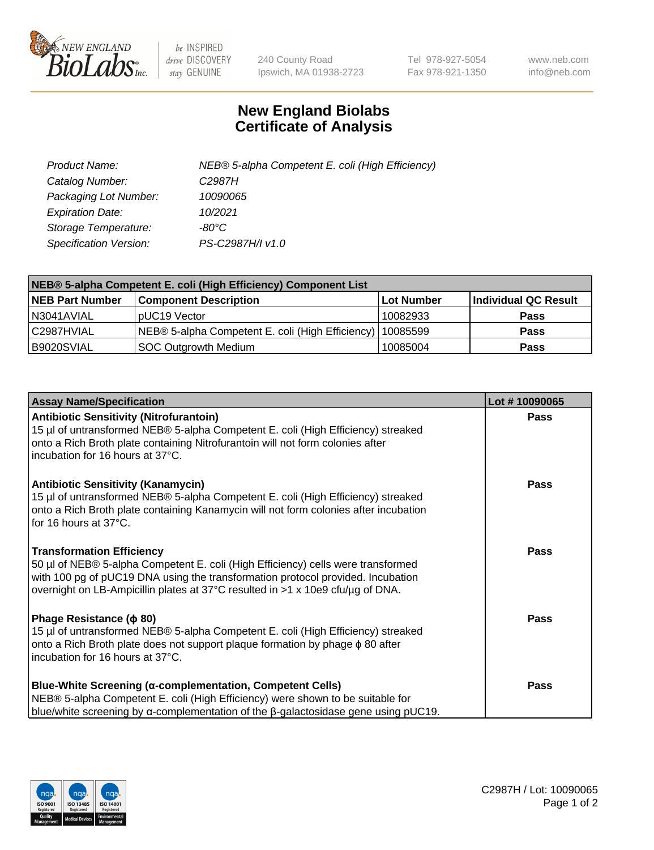

 $be$  INSPIRED drive DISCOVERY stay GENUINE

240 County Road Ipswich, MA 01938-2723 Tel 978-927-5054 Fax 978-921-1350 www.neb.com info@neb.com

## **New England Biolabs Certificate of Analysis**

| Product Name:                 | NEB® 5-alpha Competent E. coli (High Efficiency) |
|-------------------------------|--------------------------------------------------|
| Catalog Number:               | C <sub>2987</sub> H                              |
| Packaging Lot Number:         | 10090065                                         |
| <b>Expiration Date:</b>       | 10/2021                                          |
| Storage Temperature:          | -80°C                                            |
| <b>Specification Version:</b> | PS-C2987H/I v1.0                                 |

| NEB® 5-alpha Competent E. coli (High Efficiency) Component List |                                                  |            |                      |  |
|-----------------------------------------------------------------|--------------------------------------------------|------------|----------------------|--|
| <b>NEB Part Number</b>                                          | <b>Component Description</b>                     | Lot Number | Individual QC Result |  |
| I N3041AVIAL                                                    | pUC19 Vector                                     | 10082933   | <b>Pass</b>          |  |
| C2987HVIAL                                                      | NEB® 5-alpha Competent E. coli (High Efficiency) | 10085599   | <b>Pass</b>          |  |
| B9020SVIAL                                                      | SOC Outgrowth Medium                             | 10085004   | <b>Pass</b>          |  |

| <b>Assay Name/Specification</b>                                                                                                                                                                                                                                                           | Lot #10090065 |
|-------------------------------------------------------------------------------------------------------------------------------------------------------------------------------------------------------------------------------------------------------------------------------------------|---------------|
| <b>Antibiotic Sensitivity (Nitrofurantoin)</b><br>15 µl of untransformed NEB® 5-alpha Competent E. coli (High Efficiency) streaked<br>onto a Rich Broth plate containing Nitrofurantoin will not form colonies after<br>incubation for 16 hours at 37°C.                                  | <b>Pass</b>   |
| <b>Antibiotic Sensitivity (Kanamycin)</b><br>15 µl of untransformed NEB® 5-alpha Competent E. coli (High Efficiency) streaked<br>onto a Rich Broth plate containing Kanamycin will not form colonies after incubation<br>for 16 hours at 37°C.                                            | Pass          |
| <b>Transformation Efficiency</b><br>50 µl of NEB® 5-alpha Competent E. coli (High Efficiency) cells were transformed<br>with 100 pg of pUC19 DNA using the transformation protocol provided. Incubation<br>overnight on LB-Ampicillin plates at 37°C resulted in >1 x 10e9 cfu/µg of DNA. | <b>Pass</b>   |
| Phage Resistance ( $\phi$ 80)<br>15 µl of untransformed NEB® 5-alpha Competent E. coli (High Efficiency) streaked<br>onto a Rich Broth plate does not support plaque formation by phage φ 80 after<br>incubation for 16 hours at 37°C.                                                    | <b>Pass</b>   |
| Blue-White Screening (α-complementation, Competent Cells)<br>NEB® 5-alpha Competent E. coli (High Efficiency) were shown to be suitable for<br>blue/white screening by $\alpha$ -complementation of the $\beta$ -galactosidase gene using pUC19.                                          | Pass          |